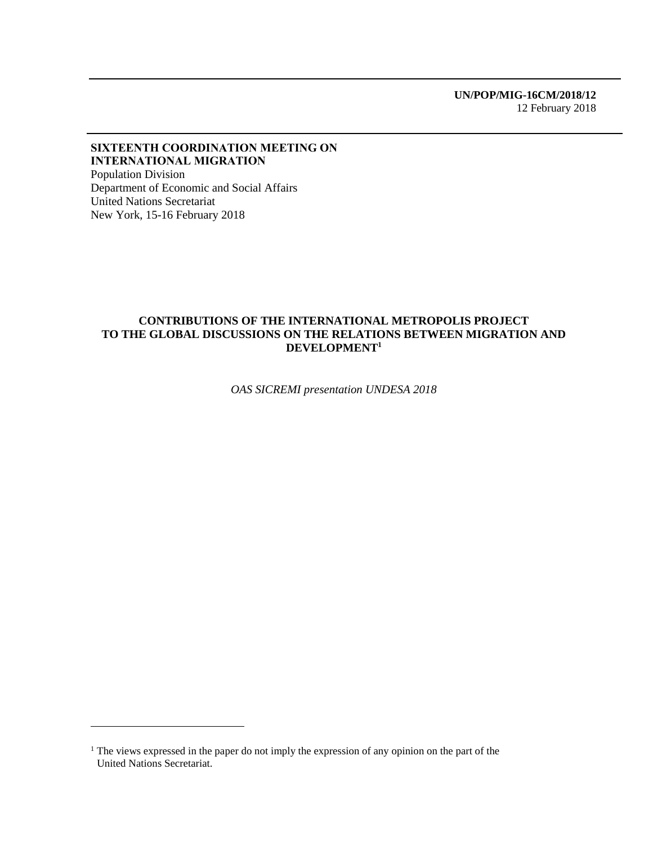#### SIXTEENTH COORDINATION MEETING ON INTERNATIONAL MIGRATION Population Division

Department of Economic and Social Affairs United Nations Secretariat New York, 15-16 February 2018

 $\overline{a}$ 

#### **CONTRIBUTIONS OF THE INTERNATIONAL METROPOLIS PROJECT TO THE GLOBAL DISCUSSIONS ON THE RELATIONS BETWEEN MIGRATION AND DEVELOPMENT<sup>1</sup>**

*OAS SICREMI presentation UNDESA 2018*

<sup>&</sup>lt;sup>1</sup> The views expressed in the paper do not imply the expression of any opinion on the part of the United Nations Secretariat.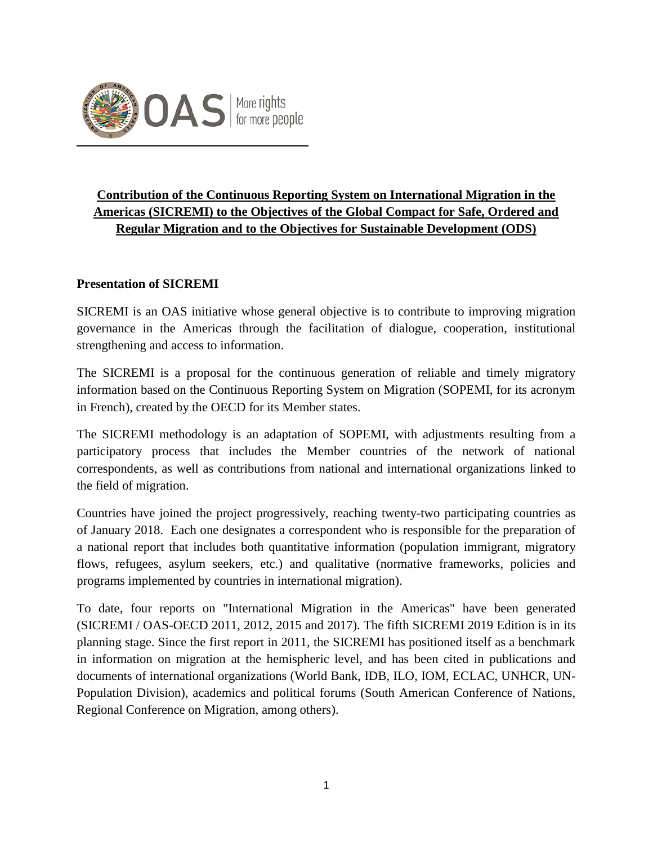

# **Contribution of the Continuous Reporting System on International Migration in the Americas (SICREMI) to the Objectives of the Global Compact for Safe, Ordered and Regular Migration and to the Objectives for Sustainable Development (ODS)**

### **Presentation of SICREMI**

SICREMI is an OAS initiative whose general objective is to contribute to improving migration governance in the Americas through the facilitation of dialogue, cooperation, institutional strengthening and access to information.

The SICREMI is a proposal for the continuous generation of reliable and timely migratory information based on the Continuous Reporting System on Migration (SOPEMI, for its acronym in French), created by the OECD for its Member states.

The SICREMI methodology is an adaptation of SOPEMI, with adjustments resulting from a participatory process that includes the Member countries of the network of national correspondents, as well as contributions from national and international organizations linked to the field of migration.

Countries have joined the project progressively, reaching twenty-two participating countries as of January 2018. Each one designates a correspondent who is responsible for the preparation of a national report that includes both quantitative information (population immigrant, migratory flows, refugees, asylum seekers, etc.) and qualitative (normative frameworks, policies and programs implemented by countries in international migration).

To date, four reports on "International Migration in the Americas" have been generated (SICREMI / OAS-OECD 2011, 2012, 2015 and 2017). The fifth SICREMI 2019 Edition is in its planning stage. Since the first report in 2011, the SICREMI has positioned itself as a benchmark in information on migration at the hemispheric level, and has been cited in publications and documents of international organizations (World Bank, IDB, ILO, IOM, ECLAC, UNHCR, UN-Population Division), academics and political forums (South American Conference of Nations, Regional Conference on Migration, among others).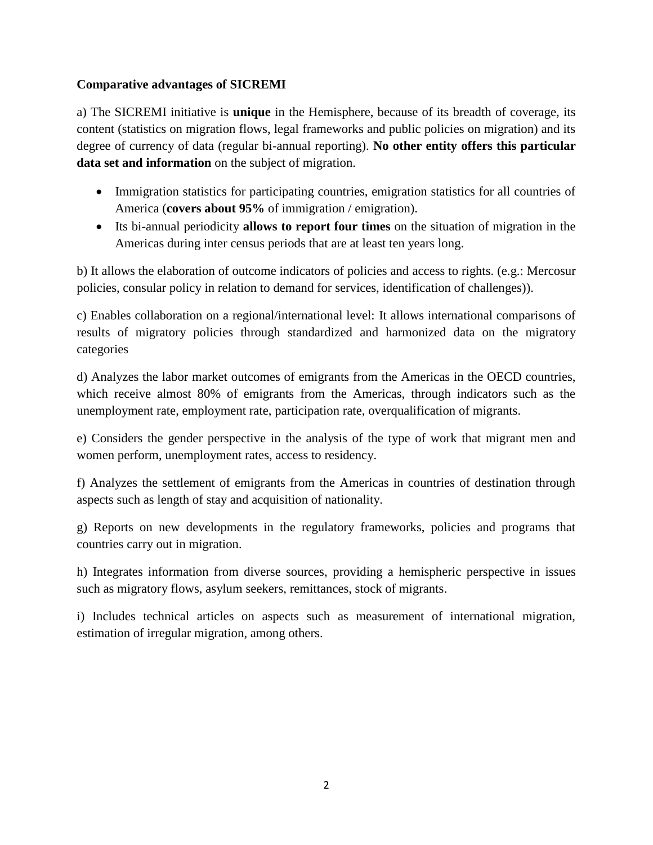### **Comparative advantages of SICREMI**

a) The SICREMI initiative is **unique** in the Hemisphere, because of its breadth of coverage, its content (statistics on migration flows, legal frameworks and public policies on migration) and its degree of currency of data (regular bi-annual reporting). **No other entity offers this particular data set and information** on the subject of migration.

- Immigration statistics for participating countries, emigration statistics for all countries of America (**covers about 95%** of immigration / emigration).
- Its bi-annual periodicity **allows to report four times** on the situation of migration in the Americas during inter census periods that are at least ten years long.

b) It allows the elaboration of outcome indicators of policies and access to rights. (e.g.: Mercosur policies, consular policy in relation to demand for services, identification of challenges)).

c) Enables collaboration on a regional/international level: It allows international comparisons of results of migratory policies through standardized and harmonized data on the migratory categories

d) Analyzes the labor market outcomes of emigrants from the Americas in the OECD countries, which receive almost 80% of emigrants from the Americas, through indicators such as the unemployment rate, employment rate, participation rate, overqualification of migrants.

e) Considers the gender perspective in the analysis of the type of work that migrant men and women perform, unemployment rates, access to residency.

f) Analyzes the settlement of emigrants from the Americas in countries of destination through aspects such as length of stay and acquisition of nationality.

g) Reports on new developments in the regulatory frameworks, policies and programs that countries carry out in migration.

h) Integrates information from diverse sources, providing a hemispheric perspective in issues such as migratory flows, asylum seekers, remittances, stock of migrants.

i) Includes technical articles on aspects such as measurement of international migration, estimation of irregular migration, among others.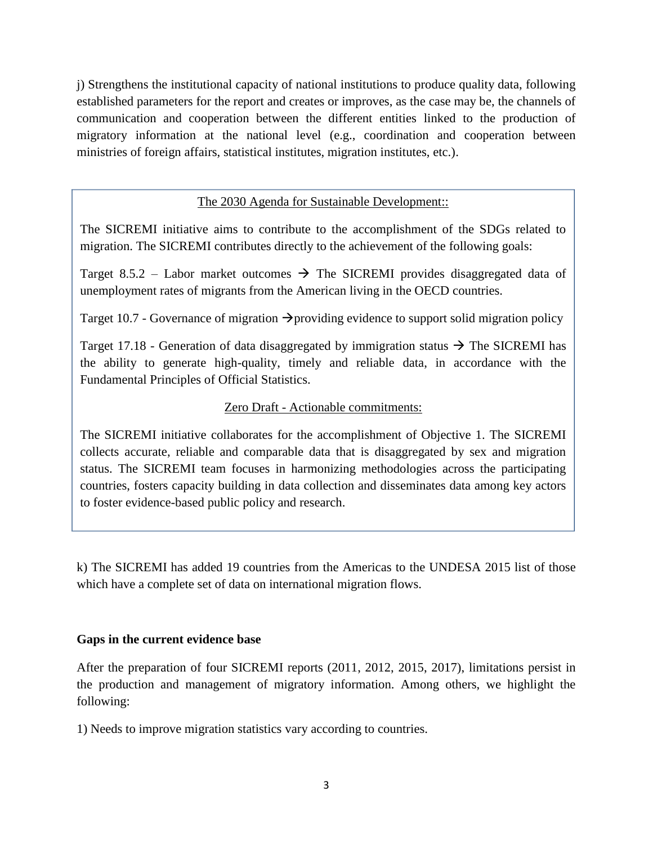j) Strengthens the institutional capacity of national institutions to produce quality data, following established parameters for the report and creates or improves, as the case may be, the channels of communication and cooperation between the different entities linked to the production of migratory information at the national level (e.g., coordination and cooperation between ministries of foreign affairs, statistical institutes, migration institutes, etc.).

### The 2030 Agenda for Sustainable Development::

The SICREMI initiative aims to contribute to the accomplishment of the SDGs related to migration. The SICREMI contributes directly to the achievement of the following goals:

Target 8.5.2 – Labor market outcomes  $\rightarrow$  The SICREMI provides disaggregated data of unemployment rates of migrants from the American living in the OECD countries.

Target 10.7 - Governance of migration  $\rightarrow$  providing evidence to support solid migration policy

Target 17.18 - Generation of data disaggregated by immigration status  $\rightarrow$  The SICREMI has the ability to generate high-quality, timely and reliable data, in accordance with the Fundamental Principles of Official Statistics.

### Zero Draft - Actionable commitments:

The SICREMI initiative collaborates for the accomplishment of Objective 1. The SICREMI collects accurate, reliable and comparable data that is disaggregated by sex and migration status. The SICREMI team focuses in harmonizing methodologies across the participating countries, fosters capacity building in data collection and disseminates data among key actors to foster evidence-based public policy and research.

k) The SICREMI has added 19 countries from the Americas to the UNDESA 2015 list of those which have a complete set of data on international migration flows.

### **Gaps in the current evidence base**

After the preparation of four SICREMI reports (2011, 2012, 2015, 2017), limitations persist in the production and management of migratory information. Among others, we highlight the following:

1) Needs to improve migration statistics vary according to countries.